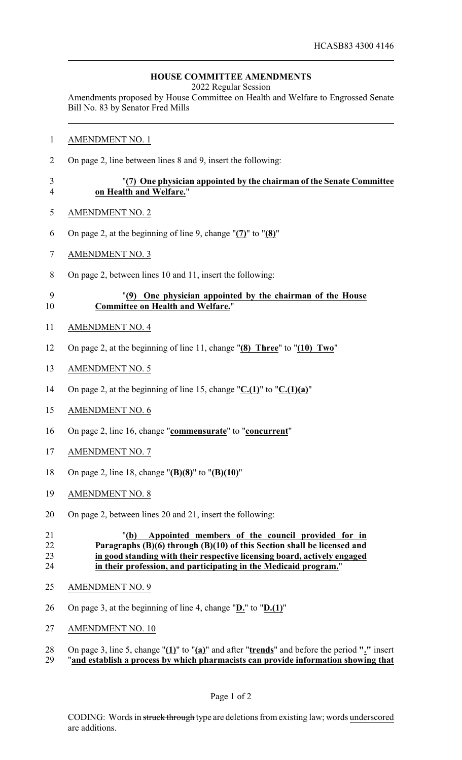## **HOUSE COMMITTEE AMENDMENTS**

2022 Regular Session

Amendments proposed by House Committee on Health and Welfare to Engrossed Senate Bill No. 83 by Senator Fred Mills

- AMENDMENT NO. 1
- On page 2, line between lines 8 and 9, insert the following:

## "**(7) One physician appointed by the chairman of the Senate Committee on Health and Welfare.**"

- AMENDMENT NO. 2
- On page 2, at the beginning of line 9, change "**(7)**" to "**(8)**"
- AMENDMENT NO. 3
- On page 2, between lines 10 and 11, insert the following:

## "**(9) One physician appointed by the chairman of the House Committee on Health and Welfare.**"

- AMENDMENT NO. 4
- On page 2, at the beginning of line 11, change "**(8) Three**" to "**(10) Two**"
- AMENDMENT NO. 5
- On page 2, at the beginning of line 15, change "**C.(1)**" to "**C.(1)(a)**"
- AMENDMENT NO. 6
- On page 2, line 16, change "**commensurate**" to "**concurrent**"
- AMENDMENT NO. 7
- On page 2, line 18, change "**(B)(8)**" to "**(B)(10)**"
- AMENDMENT NO. 8
- On page 2, between lines 20 and 21, insert the following:

## "**(b) Appointed members of the council provided for in Paragraphs (B)(6) through (B)(10) of this Section shall be licensed and in good standing with their respective licensing board, actively engaged in their profession, and participating in the Medicaid program.**"

- AMENDMENT NO. 9
- On page 3, at the beginning of line 4, change "**D.**" to "**D.(1)**"
- AMENDMENT NO. 10
- On page 3, line 5, change "**(1)**" to "**(a)**" and after "**trends**" and before the period **"."** insert
- "**and establish a process by which pharmacists can provide information showing that**